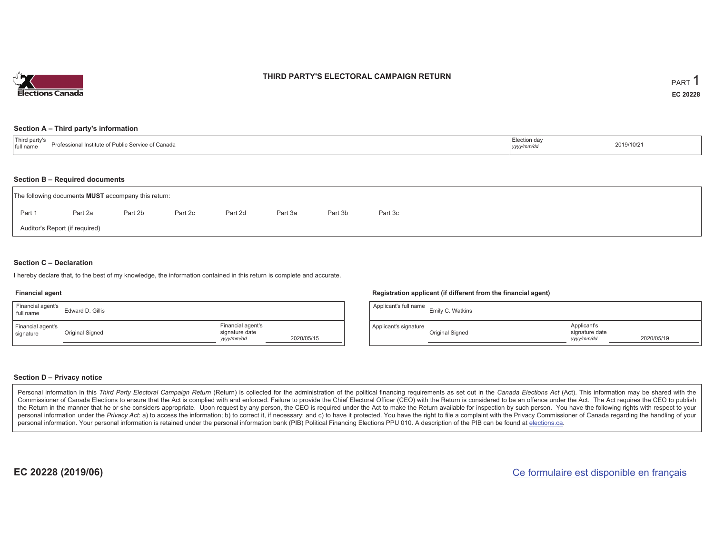

### **THIRD PARTY'S ELECTORAL CAMPAIGN RETURN**

#### **Section A – Third party's information**

| $-1$<br>: Service of Canada<br>Professional Institute of Public J<br>I full name | …Judull dav<br>yyyymmac | 2019/10/21 |
|----------------------------------------------------------------------------------|-------------------------|------------|
|----------------------------------------------------------------------------------|-------------------------|------------|

#### **Section B – Required documents**

|        | The following documents <b>MUST</b> accompany this return: |         |         |         |         |         |         |
|--------|------------------------------------------------------------|---------|---------|---------|---------|---------|---------|
| Part 1 | Part 2a                                                    | Part 2b | Part 2c | Part 2d | Part 3a | Part 3b | Part 3c |
|        | Auditor's Report (if required)                             |         |         |         |         |         |         |

#### **Section C – Declaration**

I hereby declare that, to the best of my knowledge, the information contained in this return is complete and accurate.

#### **Financial agent**

| Financial agent's<br>full name | Edward D. Gillis |                                                                 | Applicant's full name | Emily C. Watkins |
|--------------------------------|------------------|-----------------------------------------------------------------|-----------------------|------------------|
| Financial agent's<br>signature | Original Signed  | Financial agent's<br>signature date<br>2020/05/15<br>yyyy/mm/dd | Applicant's signature | Original Signed  |

#### **Section D – Privacy notice**

Personal information in this Third Party Electoral Campaign Return (Return) is collected for the administration of the political financing requirements as set out in the Canada Elections Act (Act). This information may be Commissioner of Canada Elections to ensure that the Act is complied with and enforced. Failure to provide the Chief Electoral Officer (CEO) with the Return is considered to be an offence under the Act. The Act requires the the Return in the manner that he or she considers appropriate. Upon request by any person, the CEO is required under the Act to make the Return available for inspection by such person. You have the following rights with re personal information under the Privacy Act: a) to access the information; b) to correct it, if necessary; and c) to have it protected. You have the right to file a complaint with the Privacy Commissioner of Canada regardin personal information. Your personal information is retained under the personal information bank (PIB) Political Financing Elections PPU 010. A description of the PIB can be found at elections.ca.

**Registration applicant (if different from the financial agent)**

| Applicant's full name | Emily C. Watkins |                                             |            |
|-----------------------|------------------|---------------------------------------------|------------|
| Applicant's signature | Original Signed  | Applicant's<br>signature date<br>yyyy/mm/dd | 2020/05/19 |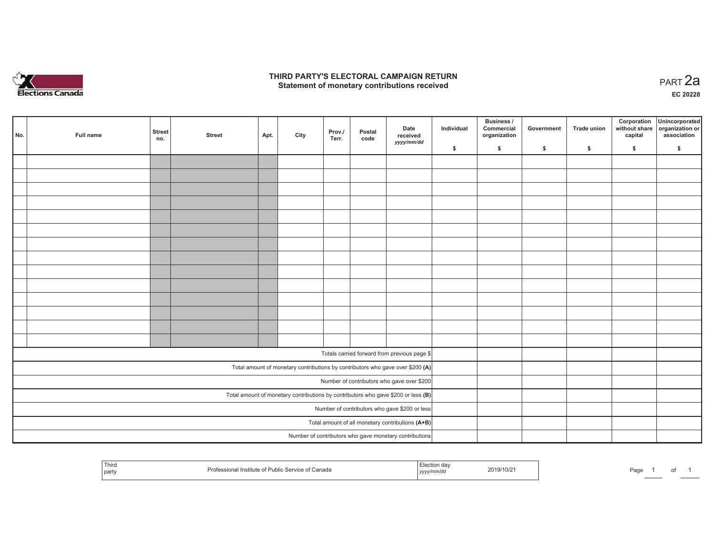

### **THIRD PARTY'S ELECTORAL CAMPAIGN RETURN HIRD PARTY'S ELECTORAL CAMPAIGN RETURN<br>Statement of monetary contributions received PART 2a**

**EC 20228**

| No. |                                                                                     | Full name | <b>Street</b><br>no. | <b>Street</b> | Apt. | City | Prov./<br>Terr. | Postal<br>code | Date<br>received<br>yyyy/mm/dd                                                 | Individual | <b>Business /</b><br>Commercial<br>organization | Government | Trade union | Corporation<br>capital | Unincorporated<br>without share organization or<br>association |
|-----|-------------------------------------------------------------------------------------|-----------|----------------------|---------------|------|------|-----------------|----------------|--------------------------------------------------------------------------------|------------|-------------------------------------------------|------------|-------------|------------------------|----------------------------------------------------------------|
|     |                                                                                     |           |                      |               |      |      |                 |                |                                                                                | \$         | \$                                              | \$         | \$          | \$                     | \$                                                             |
|     |                                                                                     |           |                      |               |      |      |                 |                |                                                                                |            |                                                 |            |             |                        |                                                                |
|     |                                                                                     |           |                      |               |      |      |                 |                |                                                                                |            |                                                 |            |             |                        |                                                                |
|     |                                                                                     |           |                      |               |      |      |                 |                |                                                                                |            |                                                 |            |             |                        |                                                                |
|     |                                                                                     |           |                      |               |      |      |                 |                |                                                                                |            |                                                 |            |             |                        |                                                                |
|     |                                                                                     |           |                      |               |      |      |                 |                |                                                                                |            |                                                 |            |             |                        |                                                                |
|     |                                                                                     |           |                      |               |      |      |                 |                |                                                                                |            |                                                 |            |             |                        |                                                                |
|     |                                                                                     |           |                      |               |      |      |                 |                |                                                                                |            |                                                 |            |             |                        |                                                                |
|     |                                                                                     |           |                      |               |      |      |                 |                |                                                                                |            |                                                 |            |             |                        |                                                                |
|     |                                                                                     |           |                      |               |      |      |                 |                |                                                                                |            |                                                 |            |             |                        |                                                                |
|     |                                                                                     |           |                      |               |      |      |                 |                |                                                                                |            |                                                 |            |             |                        |                                                                |
|     |                                                                                     |           |                      |               |      |      |                 |                |                                                                                |            |                                                 |            |             |                        |                                                                |
|     |                                                                                     |           |                      |               |      |      |                 |                |                                                                                |            |                                                 |            |             |                        |                                                                |
|     |                                                                                     |           |                      |               |      |      |                 |                |                                                                                |            |                                                 |            |             |                        |                                                                |
|     |                                                                                     |           |                      |               |      |      |                 |                |                                                                                |            |                                                 |            |             |                        |                                                                |
|     |                                                                                     |           |                      |               |      |      |                 |                |                                                                                |            |                                                 |            |             |                        |                                                                |
|     | Totals carried forward from previous page \$                                        |           |                      |               |      |      |                 |                |                                                                                |            |                                                 |            |             |                        |                                                                |
|     |                                                                                     |           |                      |               |      |      |                 |                | Total amount of monetary contributions by contributors who gave over \$200 (A) |            |                                                 |            |             |                        |                                                                |
|     | Number of contributors who gave over \$200                                          |           |                      |               |      |      |                 |                |                                                                                |            |                                                 |            |             |                        |                                                                |
|     | Total amount of monetary contributions by contributors who gave \$200 or less $(B)$ |           |                      |               |      |      |                 |                |                                                                                |            |                                                 |            |             |                        |                                                                |
|     | Number of contributors who gave \$200 or less                                       |           |                      |               |      |      |                 |                |                                                                                |            |                                                 |            |             |                        |                                                                |
|     | Total amount of all monetary contributions (A+B)                                    |           |                      |               |      |      |                 |                |                                                                                |            |                                                 |            |             |                        |                                                                |
|     |                                                                                     |           |                      |               |      |      |                 |                | Number of contributors who gave monetary contributions                         |            |                                                 |            |             |                        |                                                                |

| Third<br>party | Professional Institute of Public Service of Canada | yyyy <i>nmw</i> ao | 2019/10/2 | Page |  |  |  |  |
|----------------|----------------------------------------------------|--------------------|-----------|------|--|--|--|--|
|----------------|----------------------------------------------------|--------------------|-----------|------|--|--|--|--|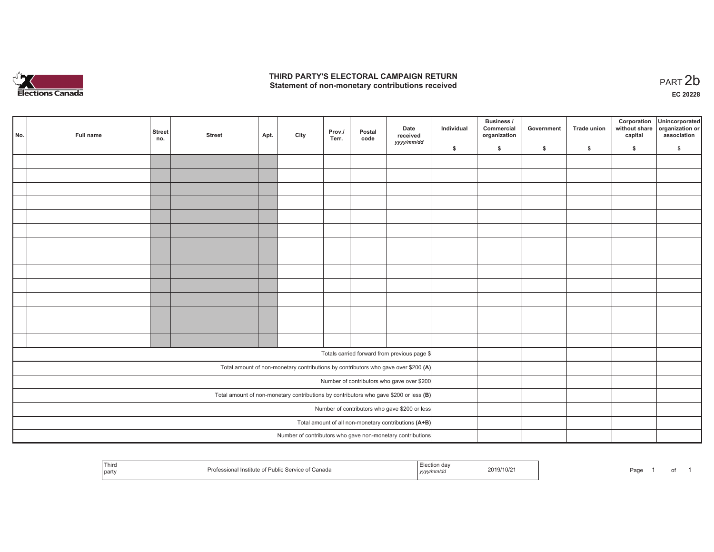

## **THIRD PARTY'S ELECTORAL CAMPAIGN RETURN**  THIRD PARTY'S ELECTORAL CAMPAIGN RETURN<br>Statement of non-monetary contributions received<br> **PART 2b**

| No. | Full name                                     | <b>Street</b><br>no.                                 | <b>Street</b> | Apt. | City | Prov./<br>Terr. | Postal<br>code | Date<br>received<br>yyyy/mm/dd                                                          | Individual | <b>Business /</b><br>Commercial<br>organization | Government   | Trade union  | Corporation<br>without share<br>capital | Unincorporated<br>organization or<br>association |
|-----|-----------------------------------------------|------------------------------------------------------|---------------|------|------|-----------------|----------------|-----------------------------------------------------------------------------------------|------------|-------------------------------------------------|--------------|--------------|-----------------------------------------|--------------------------------------------------|
|     |                                               |                                                      |               |      |      |                 |                |                                                                                         | \$         | \$                                              | $\mathsf{s}$ | $\mathbf{s}$ | \$                                      | \$                                               |
|     |                                               |                                                      |               |      |      |                 |                |                                                                                         |            |                                                 |              |              |                                         |                                                  |
|     |                                               |                                                      |               |      |      |                 |                |                                                                                         |            |                                                 |              |              |                                         |                                                  |
|     |                                               |                                                      |               |      |      |                 |                |                                                                                         |            |                                                 |              |              |                                         |                                                  |
|     |                                               |                                                      |               |      |      |                 |                |                                                                                         |            |                                                 |              |              |                                         |                                                  |
|     |                                               |                                                      |               |      |      |                 |                |                                                                                         |            |                                                 |              |              |                                         |                                                  |
|     |                                               |                                                      |               |      |      |                 |                |                                                                                         |            |                                                 |              |              |                                         |                                                  |
|     |                                               |                                                      |               |      |      |                 |                |                                                                                         |            |                                                 |              |              |                                         |                                                  |
|     |                                               |                                                      |               |      |      |                 |                |                                                                                         |            |                                                 |              |              |                                         |                                                  |
|     |                                               |                                                      |               |      |      |                 |                |                                                                                         |            |                                                 |              |              |                                         |                                                  |
|     |                                               |                                                      |               |      |      |                 |                |                                                                                         |            |                                                 |              |              |                                         |                                                  |
|     |                                               |                                                      |               |      |      |                 |                |                                                                                         |            |                                                 |              |              |                                         |                                                  |
|     |                                               |                                                      |               |      |      |                 |                |                                                                                         |            |                                                 |              |              |                                         |                                                  |
|     |                                               |                                                      |               |      |      |                 |                |                                                                                         |            |                                                 |              |              |                                         |                                                  |
|     |                                               |                                                      |               |      |      |                 |                |                                                                                         |            |                                                 |              |              |                                         |                                                  |
|     |                                               |                                                      |               |      |      |                 |                |                                                                                         |            |                                                 |              |              |                                         |                                                  |
|     |                                               |                                                      |               |      |      |                 |                | Totals carried forward from previous page \$                                            |            |                                                 |              |              |                                         |                                                  |
|     |                                               |                                                      |               |      |      |                 |                | Total amount of non-monetary contributions by contributors who gave over \$200 (A)      |            |                                                 |              |              |                                         |                                                  |
|     |                                               |                                                      |               |      |      |                 |                | Number of contributors who gave over \$200                                              |            |                                                 |              |              |                                         |                                                  |
|     |                                               |                                                      |               |      |      |                 |                | Total amount of non-monetary contributions by contributors who gave \$200 or less $(B)$ |            |                                                 |              |              |                                         |                                                  |
|     | Number of contributors who gave \$200 or less |                                                      |               |      |      |                 |                |                                                                                         |            |                                                 |              |              |                                         |                                                  |
|     |                                               | Total amount of all non-monetary contributions (A+B) |               |      |      |                 |                |                                                                                         |            |                                                 |              |              |                                         |                                                  |
|     |                                               |                                                      |               |      |      |                 |                | Number of contributors who gave non-monetary contributions                              |            |                                                 |              |              |                                         |                                                  |
|     |                                               |                                                      |               |      |      |                 |                |                                                                                         |            |                                                 |              |              |                                         |                                                  |

| Third<br>party | اطتلبا<br>Inet<br>$\mathbf{H}$ $\alpha$<br>Service<br>Canada<br>uow | , , , , , | 2019/10/2 | ים¤ |  |  |  |  |
|----------------|---------------------------------------------------------------------|-----------|-----------|-----|--|--|--|--|
|----------------|---------------------------------------------------------------------|-----------|-----------|-----|--|--|--|--|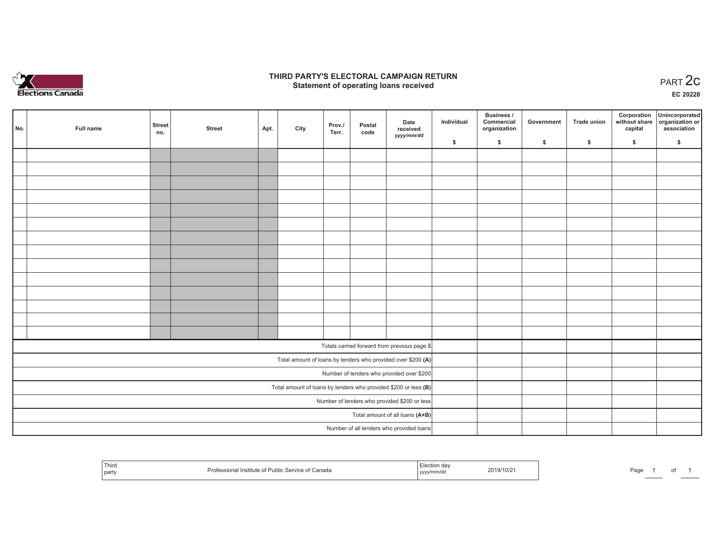

## **THIRD PARTY'S ELECTORAL CAMPAIGN RETURN STATE:** PRACT OF OPPRESS THE STATE STATE STATE STATE STATE STATE STATE STATE STATE STATE START 2C PART 2C STATE STATE STATE STATE STATE STATE STATE STATE STATE STATE STATE STATE STATE STATE STATE STATE STATE STATE STATE S

**EC 20228**

| No. | Full name                                    | <b>Street</b><br>no.            | <b>Street</b> | Apt. | City | Prov./<br>Terr. | Postal<br>code | Date<br>received                                                | Individual | Business /<br>Commercial<br>organization | Government | <b>Trade union</b> | Corporation<br>capital | Unincorporated<br>without share organization or<br>association |
|-----|----------------------------------------------|---------------------------------|---------------|------|------|-----------------|----------------|-----------------------------------------------------------------|------------|------------------------------------------|------------|--------------------|------------------------|----------------------------------------------------------------|
|     |                                              |                                 |               |      |      |                 |                | yyyy/mm/dd                                                      | \$         | \$                                       | \$         | \$                 | \$                     | \$                                                             |
|     |                                              |                                 |               |      |      |                 |                |                                                                 |            |                                          |            |                    |                        |                                                                |
|     |                                              |                                 |               |      |      |                 |                |                                                                 |            |                                          |            |                    |                        |                                                                |
|     |                                              |                                 |               |      |      |                 |                |                                                                 |            |                                          |            |                    |                        |                                                                |
|     |                                              |                                 |               |      |      |                 |                |                                                                 |            |                                          |            |                    |                        |                                                                |
|     |                                              |                                 |               |      |      |                 |                |                                                                 |            |                                          |            |                    |                        |                                                                |
|     |                                              |                                 |               |      |      |                 |                |                                                                 |            |                                          |            |                    |                        |                                                                |
|     |                                              |                                 |               |      |      |                 |                |                                                                 |            |                                          |            |                    |                        |                                                                |
|     |                                              |                                 |               |      |      |                 |                |                                                                 |            |                                          |            |                    |                        |                                                                |
|     |                                              |                                 |               |      |      |                 |                |                                                                 |            |                                          |            |                    |                        |                                                                |
|     |                                              |                                 |               |      |      |                 |                |                                                                 |            |                                          |            |                    |                        |                                                                |
|     |                                              |                                 |               |      |      |                 |                |                                                                 |            |                                          |            |                    |                        |                                                                |
|     |                                              |                                 |               |      |      |                 |                |                                                                 |            |                                          |            |                    |                        |                                                                |
|     |                                              |                                 |               |      |      |                 |                |                                                                 |            |                                          |            |                    |                        |                                                                |
|     |                                              |                                 |               |      |      |                 |                |                                                                 |            |                                          |            |                    |                        |                                                                |
|     |                                              |                                 |               |      |      |                 |                | Totals carried forward from previous page \$                    |            |                                          |            |                    |                        |                                                                |
|     |                                              |                                 |               |      |      |                 |                | Total amount of loans by lenders who provided over \$200 (A)    |            |                                          |            |                    |                        |                                                                |
|     |                                              |                                 |               |      |      |                 |                | Number of lenders who provided over \$200                       |            |                                          |            |                    |                        |                                                                |
|     |                                              |                                 |               |      |      |                 |                | Total amount of loans by lenders who provided \$200 or less (B) |            |                                          |            |                    |                        |                                                                |
|     | Number of lenders who provided \$200 or less |                                 |               |      |      |                 |                |                                                                 |            |                                          |            |                    |                        |                                                                |
|     |                                              | Total amount of all loans (A+B) |               |      |      |                 |                |                                                                 |            |                                          |            |                    |                        |                                                                |
|     |                                              |                                 |               |      |      |                 |                | Number of all lenders who provided loans                        |            |                                          |            |                    |                        |                                                                |

| Third<br>part | Public Service of Canada<br>i Institute of Pu | 19/10/2<br>__________<br>yyyy | Page |
|---------------|-----------------------------------------------|-------------------------------|------|
|---------------|-----------------------------------------------|-------------------------------|------|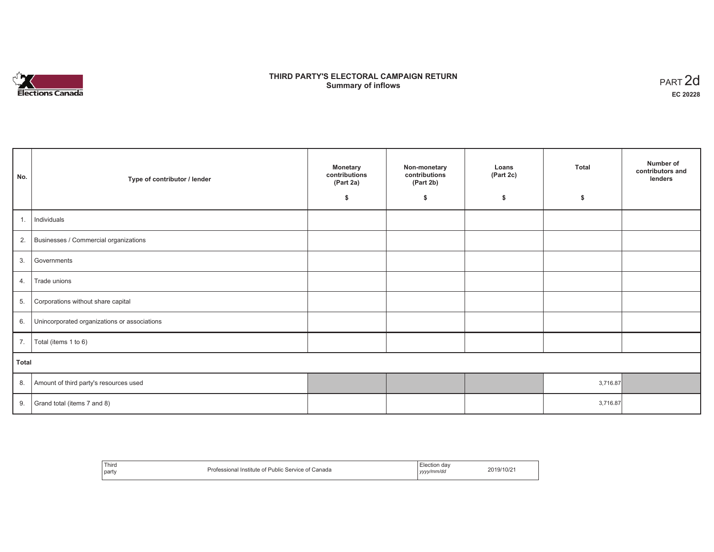

# **THIRD PARTY'S ELECTORAL CAMPAIGN RETURN S** ELECTORAL CAMPAIGN RETURN<br>Summary of inflows PART 2d

| No.   | Type of contributor / lender                 | <b>Monetary</b><br>contributions<br>(Part 2a)<br>\$ | Non-monetary<br>contributions<br>(Part 2b)<br>\$ | Loans<br>(Part 2c)<br>\$ | <b>Total</b><br>\$ | Number of<br>contributors and<br>lenders |
|-------|----------------------------------------------|-----------------------------------------------------|--------------------------------------------------|--------------------------|--------------------|------------------------------------------|
|       |                                              |                                                     |                                                  |                          |                    |                                          |
| 1.    | Individuals                                  |                                                     |                                                  |                          |                    |                                          |
|       | 2. Businesses / Commercial organizations     |                                                     |                                                  |                          |                    |                                          |
| 3.    | Governments                                  |                                                     |                                                  |                          |                    |                                          |
| 4.    | Trade unions                                 |                                                     |                                                  |                          |                    |                                          |
| 5.    | Corporations without share capital           |                                                     |                                                  |                          |                    |                                          |
| 6.    | Unincorporated organizations or associations |                                                     |                                                  |                          |                    |                                          |
| 7.    | Total (items 1 to 6)                         |                                                     |                                                  |                          |                    |                                          |
| Total |                                              |                                                     |                                                  |                          |                    |                                          |
| 8.    | Amount of third party's resources used       |                                                     |                                                  |                          | 3,716.87           |                                          |
| 9.    | Grand total (items 7 and 8)                  |                                                     |                                                  |                          | 3,716.87           |                                          |

| Third<br>party | Professional Institute of F<br>f Public Service of Canada | -<br>Election dav<br>yyyy/mm/dd | 2019/10/21 |
|----------------|-----------------------------------------------------------|---------------------------------|------------|
|----------------|-----------------------------------------------------------|---------------------------------|------------|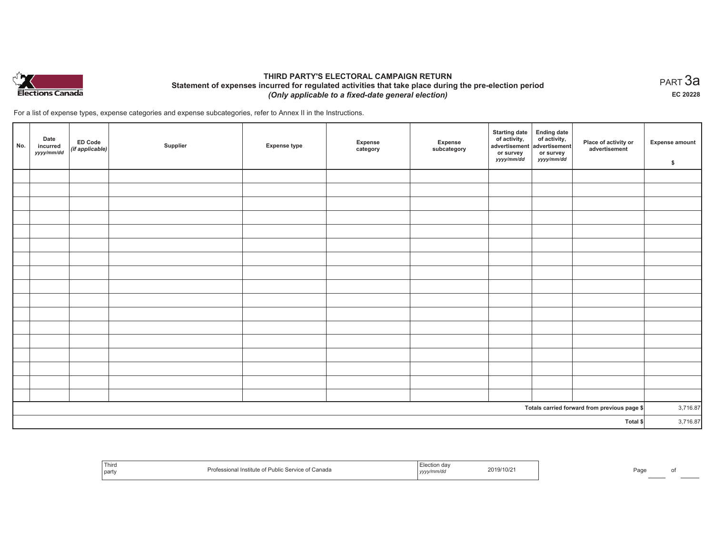

## **THIRD PARTY'S ELECTORAL CAMPAIGN RETURN Statement of expenses incurred for regulated activities that take place during the pre-election period**  *(Only applicable to a fixed-date general election)*

For a list of expense types, expense categories and expense subcategories, refer to Annex II in the Instructions.

| No.                                          | Date<br>incurred<br>yyyy/mm/dd | ED Code<br>(if applicable) | Supplier | <b>Expense type</b> | Expense<br>category | Expense<br>subcategory | Starting date<br>of activity,<br>advertisement<br>or survey<br>yyyy/mm/dd | Ending date<br>of activity,<br>advertisement<br>or survey<br><i>yyyy/mm/dd</i> | Place of activity or<br>advertisement | Expense amount<br>\$ |
|----------------------------------------------|--------------------------------|----------------------------|----------|---------------------|---------------------|------------------------|---------------------------------------------------------------------------|--------------------------------------------------------------------------------|---------------------------------------|----------------------|
|                                              |                                |                            |          |                     |                     |                        |                                                                           |                                                                                |                                       |                      |
|                                              |                                |                            |          |                     |                     |                        |                                                                           |                                                                                |                                       |                      |
|                                              |                                |                            |          |                     |                     |                        |                                                                           |                                                                                |                                       |                      |
|                                              |                                |                            |          |                     |                     |                        |                                                                           |                                                                                |                                       |                      |
|                                              |                                |                            |          |                     |                     |                        |                                                                           |                                                                                |                                       |                      |
|                                              |                                |                            |          |                     |                     |                        |                                                                           |                                                                                |                                       |                      |
|                                              |                                |                            |          |                     |                     |                        |                                                                           |                                                                                |                                       |                      |
|                                              |                                |                            |          |                     |                     |                        |                                                                           |                                                                                |                                       |                      |
|                                              |                                |                            |          |                     |                     |                        |                                                                           |                                                                                |                                       |                      |
|                                              |                                |                            |          |                     |                     |                        |                                                                           |                                                                                |                                       |                      |
|                                              |                                |                            |          |                     |                     |                        |                                                                           |                                                                                |                                       |                      |
|                                              |                                |                            |          |                     |                     |                        |                                                                           |                                                                                |                                       |                      |
|                                              |                                |                            |          |                     |                     |                        |                                                                           |                                                                                |                                       |                      |
|                                              |                                |                            |          |                     |                     |                        |                                                                           |                                                                                |                                       |                      |
|                                              |                                |                            |          |                     |                     |                        |                                                                           |                                                                                |                                       |                      |
|                                              |                                |                            |          |                     |                     |                        |                                                                           |                                                                                |                                       |                      |
|                                              |                                |                            |          |                     |                     |                        |                                                                           |                                                                                |                                       |                      |
| Totals carried forward from previous page \$ |                                |                            |          |                     |                     |                        | 3,716.87                                                                  |                                                                                |                                       |                      |
| Total \$                                     |                                |                            |          |                     |                     |                        | 3,716.87                                                                  |                                                                                |                                       |                      |

| Third<br>party | t Canada<br><b>PUDIIC SERVIL</b><br><b>INSTITUTE</b><br>. וחי | .<br>2019<br>,,,,, | 9/10/2 <sup>.</sup> | Page |  |
|----------------|---------------------------------------------------------------|--------------------|---------------------|------|--|
|----------------|---------------------------------------------------------------|--------------------|---------------------|------|--|

 $_{\sf PART}$ 3a **EC 20228**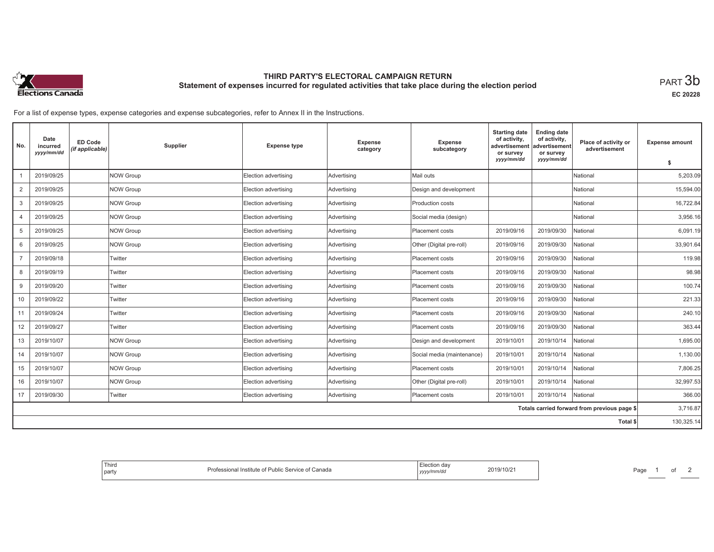

# **THIRD PARTY'S ELECTORAL CAMPAIGN RETURN Statement of expenses incurred for regulated activities that take place during the election period**<br>PART  $3\mathsf{b}$

**EC 20228**

For a list of expense types, expense categories and expense subcategories, refer to Annex II in the Instructions.

| No.                                          | Date<br>incurred<br>yyyy/mm/dd | <b>ED Code</b><br>(if applicable) | Supplier         | <b>Expense type</b>  | Expense<br>category | <b>Expense</b><br>subcategory | <b>Starting date</b><br>of activity,<br>advertisement<br>or survey<br>yyyy/mm/dd | <b>Ending date</b><br>of activity,<br>advertisement<br>or survey | Place of activity or<br>advertisement | <b>Expense amount</b> |
|----------------------------------------------|--------------------------------|-----------------------------------|------------------|----------------------|---------------------|-------------------------------|----------------------------------------------------------------------------------|------------------------------------------------------------------|---------------------------------------|-----------------------|
|                                              |                                |                                   |                  |                      |                     |                               |                                                                                  | yyyy/mm/dd                                                       |                                       | s.                    |
|                                              | 2019/09/25                     |                                   | NOW Group        | Election advertising | Advertising         | Mail outs                     |                                                                                  |                                                                  | National                              | 5,203.09              |
| 2                                            | 2019/09/25                     |                                   | <b>NOW Group</b> | Election advertising | Advertising         | Design and development        |                                                                                  |                                                                  | National                              | 15,594.00             |
| 3                                            | 2019/09/25                     |                                   | NOW Group        | Election advertising | Advertising         | Production costs              |                                                                                  |                                                                  | National                              | 16,722.84             |
| 4                                            | 2019/09/25                     |                                   | <b>NOW Group</b> | Election advertising | Advertising         | Social media (design)         |                                                                                  |                                                                  | National                              | 3,956.16              |
| 5                                            | 2019/09/25                     |                                   | <b>NOW Group</b> | Election advertising | Advertising         | Placement costs               | 2019/09/16                                                                       | 2019/09/30                                                       | National                              | 6,091.19              |
| 6                                            | 2019/09/25                     |                                   | <b>NOW Group</b> | Election advertising | Advertising         | Other (Digital pre-roll)      | 2019/09/16                                                                       | 2019/09/30                                                       | National                              | 33.901.64             |
| $\overline{7}$                               | 2019/09/18                     |                                   | Twitter          | Election advertising | Advertising         | Placement costs               | 2019/09/16                                                                       | 2019/09/30                                                       | National                              | 119.98                |
| 8                                            | 2019/09/19                     |                                   | Twitter          | Election advertising | Advertising         | Placement costs               | 2019/09/16                                                                       | 2019/09/30                                                       | National                              | 98.98                 |
| 9                                            | 2019/09/20                     |                                   | Twitter          | Election advertising | Advertising         | Placement costs               | 2019/09/16                                                                       | 2019/09/30                                                       | National                              | 100.74                |
| 10                                           | 2019/09/22                     |                                   | Twitter          | Election advertising | Advertising         | Placement costs               | 2019/09/16                                                                       | 2019/09/30                                                       | National                              | 221.33                |
| 11                                           | 2019/09/24                     |                                   | Twitter          | Election advertising | Advertising         | Placement costs               | 2019/09/16                                                                       | 2019/09/30                                                       | National                              | 240.10                |
| 12                                           | 2019/09/27                     |                                   | Twitter          | Election advertising | Advertising         | Placement costs               | 2019/09/16                                                                       | 2019/09/30                                                       | National                              | 363.44                |
| 13                                           | 2019/10/07                     |                                   | <b>NOW Group</b> | Election advertising | Advertising         | Design and development        | 2019/10/01                                                                       | 2019/10/14                                                       | National                              | 1,695.00              |
| 14                                           | 2019/10/07                     |                                   | <b>NOW Group</b> | Election advertising | Advertising         | Social media (maintenance)    | 2019/10/01                                                                       | 2019/10/14                                                       | National                              | 1,130.00              |
| 15                                           | 2019/10/07                     |                                   | NOW Group        | Election advertising | Advertising         | Placement costs               | 2019/10/01                                                                       | 2019/10/14                                                       | National                              | 7.806.25              |
| 16                                           | 2019/10/07                     |                                   | <b>NOW Group</b> | Election advertising | Advertising         | Other (Digital pre-roll)      | 2019/10/01                                                                       | 2019/10/14                                                       | National                              | 32,997.53             |
| 17                                           | 2019/09/30                     |                                   | Twitter          | Election advertising | Advertising         | Placement costs               | 2019/10/01                                                                       | 2019/10/14                                                       | National                              | 366.00                |
| Totals carried forward from previous page \$ |                                |                                   |                  |                      |                     |                               |                                                                                  | 3,716.87                                                         |                                       |                       |
|                                              |                                |                                   |                  |                      |                     |                               |                                                                                  |                                                                  | Total \$                              | 130,325.14            |

| , dav<br>2019/10/2<br>↑ of Canada<br>: Service o<br>ressional Institute of<br>Public<br>yyyy/mm/dd |  |
|----------------------------------------------------------------------------------------------------|--|
|----------------------------------------------------------------------------------------------------|--|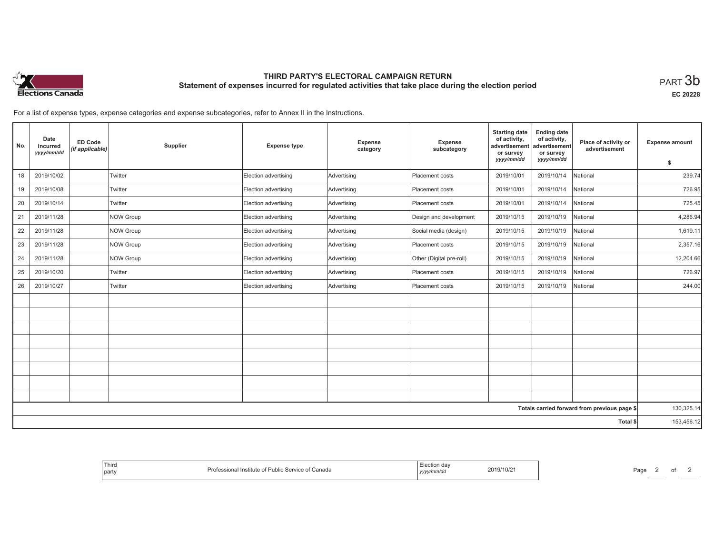

# **THIRD PARTY'S ELECTORAL CAMPAIGN RETURN Statement of expenses incurred for regulated activities that take place during the election period**<br>PART  $3\mathsf{b}$

**EC 20228**

Page 2 of 2

For a list of expense types, expense categories and expense subcategories, refer to Annex II in the Instructions.

| No.      | Date<br>incurred<br>yyyy/mm/dd | <b>ED Code</b><br>(if applicable) | Supplier  | <b>Expense type</b>  | <b>Expense</b><br>category | Expense<br>subcategory   | <b>Starting date</b><br>of activity,<br>advertisement<br>or survey<br>yyyy/mm/dd | <b>Ending date</b><br>of activity,<br>advertisement<br>or survey | Place of activity or<br>advertisement        | <b>Expense amount</b> |
|----------|--------------------------------|-----------------------------------|-----------|----------------------|----------------------------|--------------------------|----------------------------------------------------------------------------------|------------------------------------------------------------------|----------------------------------------------|-----------------------|
|          |                                |                                   |           |                      |                            |                          |                                                                                  | yyyy/mm/dd                                                       |                                              | \$                    |
| 18       | 2019/10/02                     |                                   | Twitter   | Election advertising | Advertising                | Placement costs          | 2019/10/01                                                                       | 2019/10/14                                                       | National                                     | 239.74                |
| 19       | 2019/10/08                     |                                   | Twitter   | Election advertising | Advertising                | Placement costs          | 2019/10/01                                                                       | 2019/10/14                                                       | National                                     | 726.95                |
| 20       | 2019/10/14                     |                                   | Twitter   | Election advertising | Advertising                | Placement costs          | 2019/10/01                                                                       | 2019/10/14                                                       | National                                     | 725.45                |
| 21       | 2019/11/28                     |                                   | NOW Group | Election advertising | Advertising                | Design and development   | 2019/10/15                                                                       | 2019/10/19                                                       | National                                     | 4,286.94              |
| 22       | 2019/11/28                     |                                   | NOW Group | Election advertising | Advertising                | Social media (design)    | 2019/10/15                                                                       | 2019/10/19                                                       | National                                     | 1,619.11              |
| 23       | 2019/11/28                     |                                   | NOW Group | Election advertising | Advertising                | Placement costs          | 2019/10/15                                                                       | 2019/10/19                                                       | National                                     | 2,357.16              |
| 24       | 2019/11/28                     |                                   | NOW Group | Election advertising | Advertising                | Other (Digital pre-roll) | 2019/10/15                                                                       | 2019/10/19                                                       | National                                     | 12,204.66             |
| 25       | 2019/10/20                     |                                   | Twitter   | Election advertising | Advertising                | Placement costs          | 2019/10/15                                                                       | 2019/10/19                                                       | National                                     | 726.97                |
| 26       | 2019/10/27                     |                                   | Twitter   | Election advertising | Advertising                | Placement costs          | 2019/10/15                                                                       | 2019/10/19                                                       | National                                     | 244.00                |
|          |                                |                                   |           |                      |                            |                          |                                                                                  |                                                                  |                                              |                       |
|          |                                |                                   |           |                      |                            |                          |                                                                                  |                                                                  |                                              |                       |
|          |                                |                                   |           |                      |                            |                          |                                                                                  |                                                                  |                                              |                       |
|          |                                |                                   |           |                      |                            |                          |                                                                                  |                                                                  |                                              |                       |
|          |                                |                                   |           |                      |                            |                          |                                                                                  |                                                                  |                                              |                       |
|          |                                |                                   |           |                      |                            |                          |                                                                                  |                                                                  |                                              |                       |
|          |                                |                                   |           |                      |                            |                          |                                                                                  |                                                                  |                                              |                       |
|          |                                |                                   |           |                      |                            |                          |                                                                                  |                                                                  |                                              |                       |
|          |                                |                                   |           |                      |                            |                          |                                                                                  |                                                                  | Totals carried forward from previous page \$ | 130,325.14            |
| Total \$ |                                |                                   |           |                      |                            |                          | 153,456.12                                                                       |                                                                  |                                              |                       |

| $-1$<br>Election<br>Third<br>2019/10/21<br>: Service of<br>Public<br>Professional<br>Canada<br>Institute of<br>⊓∪/∠<br>' party<br>  yyyy/mm/da |
|------------------------------------------------------------------------------------------------------------------------------------------------|
|------------------------------------------------------------------------------------------------------------------------------------------------|